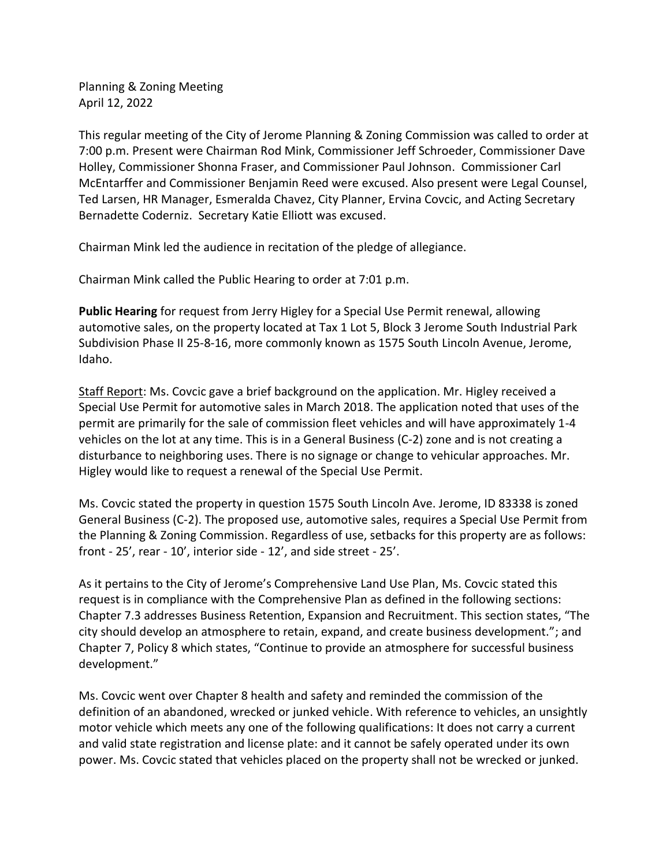Planning & Zoning Meeting April 12, 2022

This regular meeting of the City of Jerome Planning & Zoning Commission was called to order at 7:00 p.m. Present were Chairman Rod Mink, Commissioner Jeff Schroeder, Commissioner Dave Holley, Commissioner Shonna Fraser, and Commissioner Paul Johnson. Commissioner Carl McEntarffer and Commissioner Benjamin Reed were excused. Also present were Legal Counsel, Ted Larsen, HR Manager, Esmeralda Chavez, City Planner, Ervina Covcic, and Acting Secretary Bernadette Coderniz. Secretary Katie Elliott was excused.

Chairman Mink led the audience in recitation of the pledge of allegiance.

Chairman Mink called the Public Hearing to order at 7:01 p.m.

**Public Hearing** for request from Jerry Higley for a Special Use Permit renewal, allowing automotive sales, on the property located at Tax 1 Lot 5, Block 3 Jerome South Industrial Park Subdivision Phase II 25-8-16, more commonly known as 1575 South Lincoln Avenue, Jerome, Idaho.

Staff Report: Ms. Covcic gave a brief background on the application. Mr. Higley received a Special Use Permit for automotive sales in March 2018. The application noted that uses of the permit are primarily for the sale of commission fleet vehicles and will have approximately 1-4 vehicles on the lot at any time. This is in a General Business (C-2) zone and is not creating a disturbance to neighboring uses. There is no signage or change to vehicular approaches. Mr. Higley would like to request a renewal of the Special Use Permit.

Ms. Covcic stated the property in question 1575 South Lincoln Ave. Jerome, ID 83338 is zoned General Business (C-2). The proposed use, automotive sales, requires a Special Use Permit from the Planning & Zoning Commission. Regardless of use, setbacks for this property are as follows: front - 25', rear - 10', interior side - 12', and side street - 25'.

As it pertains to the City of Jerome's Comprehensive Land Use Plan, Ms. Covcic stated this request is in compliance with the Comprehensive Plan as defined in the following sections: Chapter 7.3 addresses Business Retention, Expansion and Recruitment. This section states, "The city should develop an atmosphere to retain, expand, and create business development."; and Chapter 7, Policy 8 which states, "Continue to provide an atmosphere for successful business development."

Ms. Covcic went over Chapter 8 health and safety and reminded the commission of the definition of an abandoned, wrecked or junked vehicle. With reference to vehicles, an unsightly motor vehicle which meets any one of the following qualifications: It does not carry a current and valid state registration and license plate: and it cannot be safely operated under its own power. Ms. Covcic stated that vehicles placed on the property shall not be wrecked or junked.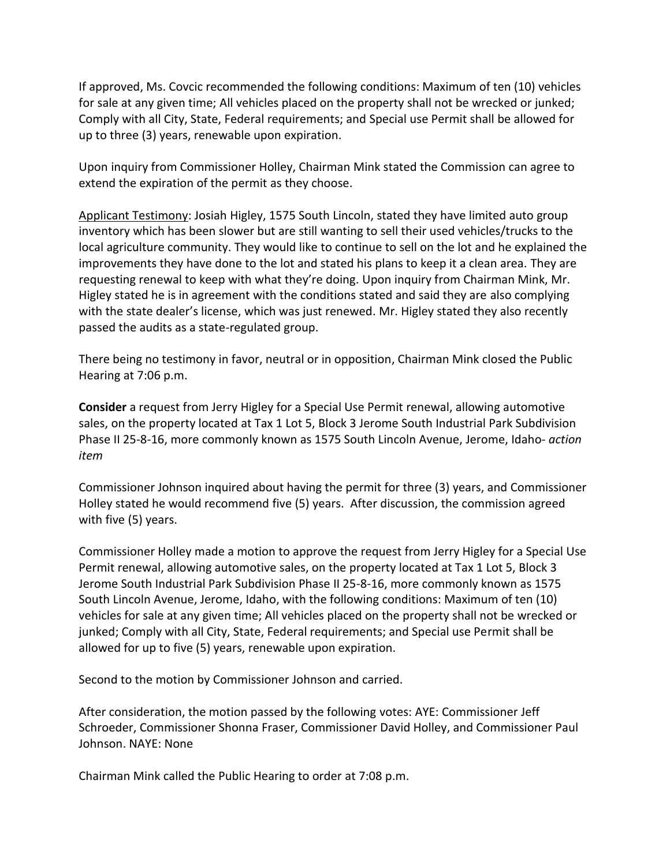If approved, Ms. Covcic recommended the following conditions: Maximum of ten (10) vehicles for sale at any given time; All vehicles placed on the property shall not be wrecked or junked; Comply with all City, State, Federal requirements; and Special use Permit shall be allowed for up to three (3) years, renewable upon expiration.

Upon inquiry from Commissioner Holley, Chairman Mink stated the Commission can agree to extend the expiration of the permit as they choose.

Applicant Testimony: Josiah Higley, 1575 South Lincoln, stated they have limited auto group inventory which has been slower but are still wanting to sell their used vehicles/trucks to the local agriculture community. They would like to continue to sell on the lot and he explained the improvements they have done to the lot and stated his plans to keep it a clean area. They are requesting renewal to keep with what they're doing. Upon inquiry from Chairman Mink, Mr. Higley stated he is in agreement with the conditions stated and said they are also complying with the state dealer's license, which was just renewed. Mr. Higley stated they also recently passed the audits as a state-regulated group.

There being no testimony in favor, neutral or in opposition, Chairman Mink closed the Public Hearing at 7:06 p.m.

**Consider** a request from Jerry Higley for a Special Use Permit renewal, allowing automotive sales, on the property located at Tax 1 Lot 5, Block 3 Jerome South Industrial Park Subdivision Phase II 25-8-16, more commonly known as 1575 South Lincoln Avenue, Jerome, Idaho- *action item*

Commissioner Johnson inquired about having the permit for three (3) years, and Commissioner Holley stated he would recommend five (5) years. After discussion, the commission agreed with five (5) years.

Commissioner Holley made a motion to approve the request from Jerry Higley for a Special Use Permit renewal, allowing automotive sales, on the property located at Tax 1 Lot 5, Block 3 Jerome South Industrial Park Subdivision Phase II 25-8-16, more commonly known as 1575 South Lincoln Avenue, Jerome, Idaho, with the following conditions: Maximum of ten (10) vehicles for sale at any given time; All vehicles placed on the property shall not be wrecked or junked; Comply with all City, State, Federal requirements; and Special use Permit shall be allowed for up to five (5) years, renewable upon expiration.

Second to the motion by Commissioner Johnson and carried.

After consideration, the motion passed by the following votes: AYE: Commissioner Jeff Schroeder, Commissioner Shonna Fraser, Commissioner David Holley, and Commissioner Paul Johnson. NAYE: None

Chairman Mink called the Public Hearing to order at 7:08 p.m.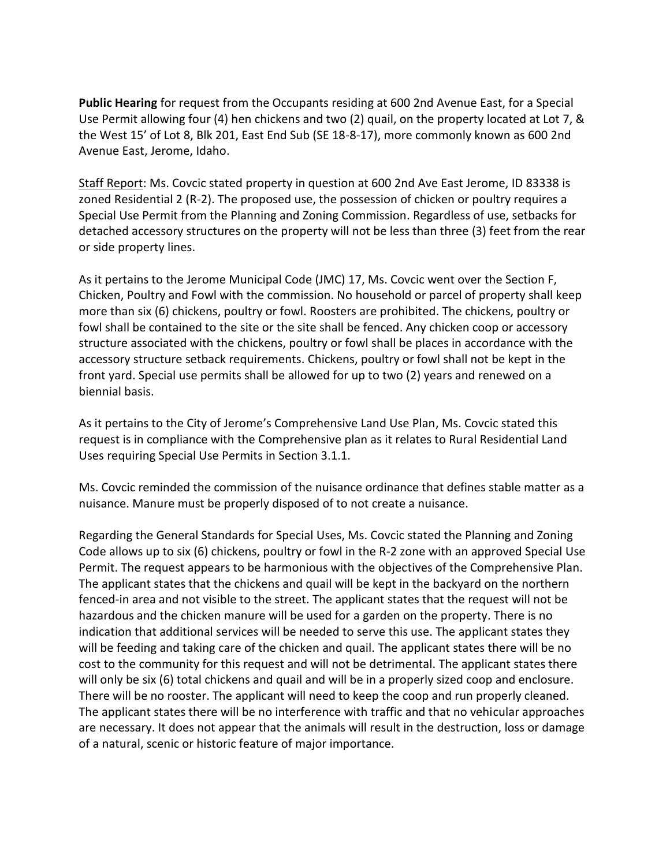**Public Hearing** for request from the Occupants residing at 600 2nd Avenue East, for a Special Use Permit allowing four (4) hen chickens and two (2) quail, on the property located at Lot 7, & the West 15' of Lot 8, Blk 201, East End Sub (SE 18-8-17), more commonly known as 600 2nd Avenue East, Jerome, Idaho.

Staff Report: Ms. Covcic stated property in question at 600 2nd Ave East Jerome, ID 83338 is zoned Residential 2 (R-2). The proposed use, the possession of chicken or poultry requires a Special Use Permit from the Planning and Zoning Commission. Regardless of use, setbacks for detached accessory structures on the property will not be less than three (3) feet from the rear or side property lines.

As it pertains to the Jerome Municipal Code (JMC) 17, Ms. Covcic went over the Section F, Chicken, Poultry and Fowl with the commission. No household or parcel of property shall keep more than six (6) chickens, poultry or fowl. Roosters are prohibited. The chickens, poultry or fowl shall be contained to the site or the site shall be fenced. Any chicken coop or accessory structure associated with the chickens, poultry or fowl shall be places in accordance with the accessory structure setback requirements. Chickens, poultry or fowl shall not be kept in the front yard. Special use permits shall be allowed for up to two (2) years and renewed on a biennial basis.

As it pertains to the City of Jerome's Comprehensive Land Use Plan, Ms. Covcic stated this request is in compliance with the Comprehensive plan as it relates to Rural Residential Land Uses requiring Special Use Permits in Section 3.1.1.

Ms. Covcic reminded the commission of the nuisance ordinance that defines stable matter as a nuisance. Manure must be properly disposed of to not create a nuisance.

Regarding the General Standards for Special Uses, Ms. Covcic stated the Planning and Zoning Code allows up to six (6) chickens, poultry or fowl in the R-2 zone with an approved Special Use Permit. The request appears to be harmonious with the objectives of the Comprehensive Plan. The applicant states that the chickens and quail will be kept in the backyard on the northern fenced-in area and not visible to the street. The applicant states that the request will not be hazardous and the chicken manure will be used for a garden on the property. There is no indication that additional services will be needed to serve this use. The applicant states they will be feeding and taking care of the chicken and quail. The applicant states there will be no cost to the community for this request and will not be detrimental. The applicant states there will only be six (6) total chickens and quail and will be in a properly sized coop and enclosure. There will be no rooster. The applicant will need to keep the coop and run properly cleaned. The applicant states there will be no interference with traffic and that no vehicular approaches are necessary. It does not appear that the animals will result in the destruction, loss or damage of a natural, scenic or historic feature of major importance.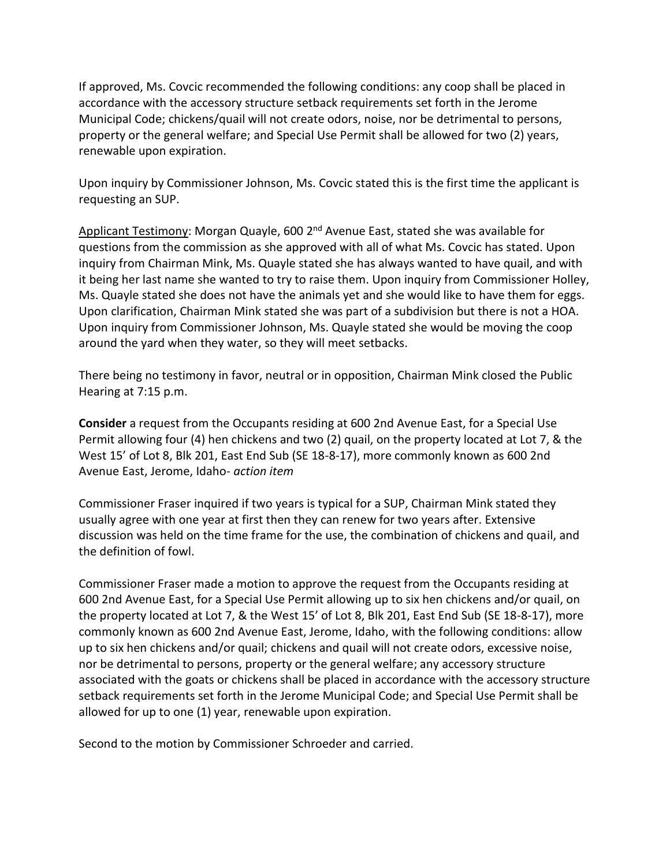If approved, Ms. Covcic recommended the following conditions: any coop shall be placed in accordance with the accessory structure setback requirements set forth in the Jerome Municipal Code; chickens/quail will not create odors, noise, nor be detrimental to persons, property or the general welfare; and Special Use Permit shall be allowed for two (2) years, renewable upon expiration.

Upon inquiry by Commissioner Johnson, Ms. Covcic stated this is the first time the applicant is requesting an SUP.

Applicant Testimony: Morgan Quayle, 600 2<sup>nd</sup> Avenue East, stated she was available for questions from the commission as she approved with all of what Ms. Covcic has stated. Upon inquiry from Chairman Mink, Ms. Quayle stated she has always wanted to have quail, and with it being her last name she wanted to try to raise them. Upon inquiry from Commissioner Holley, Ms. Quayle stated she does not have the animals yet and she would like to have them for eggs. Upon clarification, Chairman Mink stated she was part of a subdivision but there is not a HOA. Upon inquiry from Commissioner Johnson, Ms. Quayle stated she would be moving the coop around the yard when they water, so they will meet setbacks.

There being no testimony in favor, neutral or in opposition, Chairman Mink closed the Public Hearing at 7:15 p.m.

**Consider** a request from the Occupants residing at 600 2nd Avenue East, for a Special Use Permit allowing four (4) hen chickens and two (2) quail, on the property located at Lot 7, & the West 15' of Lot 8, Blk 201, East End Sub (SE 18-8-17), more commonly known as 600 2nd Avenue East, Jerome, Idaho- *action item*

Commissioner Fraser inquired if two years is typical for a SUP, Chairman Mink stated they usually agree with one year at first then they can renew for two years after. Extensive discussion was held on the time frame for the use, the combination of chickens and quail, and the definition of fowl.

Commissioner Fraser made a motion to approve the request from the Occupants residing at 600 2nd Avenue East, for a Special Use Permit allowing up to six hen chickens and/or quail, on the property located at Lot 7, & the West 15' of Lot 8, Blk 201, East End Sub (SE 18-8-17), more commonly known as 600 2nd Avenue East, Jerome, Idaho, with the following conditions: allow up to six hen chickens and/or quail; chickens and quail will not create odors, excessive noise, nor be detrimental to persons, property or the general welfare; any accessory structure associated with the goats or chickens shall be placed in accordance with the accessory structure setback requirements set forth in the Jerome Municipal Code; and Special Use Permit shall be allowed for up to one (1) year, renewable upon expiration.

Second to the motion by Commissioner Schroeder and carried.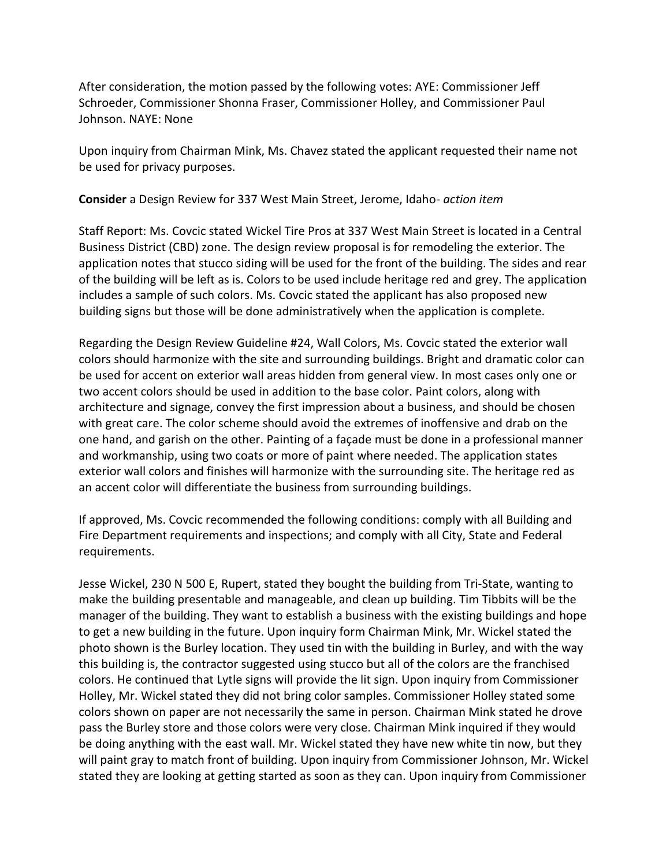After consideration, the motion passed by the following votes: AYE: Commissioner Jeff Schroeder, Commissioner Shonna Fraser, Commissioner Holley, and Commissioner Paul Johnson. NAYE: None

Upon inquiry from Chairman Mink, Ms. Chavez stated the applicant requested their name not be used for privacy purposes.

**Consider** a Design Review for 337 West Main Street, Jerome, Idaho- *action item*

Staff Report: Ms. Covcic stated Wickel Tire Pros at 337 West Main Street is located in a Central Business District (CBD) zone. The design review proposal is for remodeling the exterior. The application notes that stucco siding will be used for the front of the building. The sides and rear of the building will be left as is. Colors to be used include heritage red and grey. The application includes a sample of such colors. Ms. Covcic stated the applicant has also proposed new building signs but those will be done administratively when the application is complete.

Regarding the Design Review Guideline #24, Wall Colors, Ms. Covcic stated the exterior wall colors should harmonize with the site and surrounding buildings. Bright and dramatic color can be used for accent on exterior wall areas hidden from general view. In most cases only one or two accent colors should be used in addition to the base color. Paint colors, along with architecture and signage, convey the first impression about a business, and should be chosen with great care. The color scheme should avoid the extremes of inoffensive and drab on the one hand, and garish on the other. Painting of a façade must be done in a professional manner and workmanship, using two coats or more of paint where needed. The application states exterior wall colors and finishes will harmonize with the surrounding site. The heritage red as an accent color will differentiate the business from surrounding buildings.

If approved, Ms. Covcic recommended the following conditions: comply with all Building and Fire Department requirements and inspections; and comply with all City, State and Federal requirements.

Jesse Wickel, 230 N 500 E, Rupert, stated they bought the building from Tri-State, wanting to make the building presentable and manageable, and clean up building. Tim Tibbits will be the manager of the building. They want to establish a business with the existing buildings and hope to get a new building in the future. Upon inquiry form Chairman Mink, Mr. Wickel stated the photo shown is the Burley location. They used tin with the building in Burley, and with the way this building is, the contractor suggested using stucco but all of the colors are the franchised colors. He continued that Lytle signs will provide the lit sign. Upon inquiry from Commissioner Holley, Mr. Wickel stated they did not bring color samples. Commissioner Holley stated some colors shown on paper are not necessarily the same in person. Chairman Mink stated he drove pass the Burley store and those colors were very close. Chairman Mink inquired if they would be doing anything with the east wall. Mr. Wickel stated they have new white tin now, but they will paint gray to match front of building. Upon inquiry from Commissioner Johnson, Mr. Wickel stated they are looking at getting started as soon as they can. Upon inquiry from Commissioner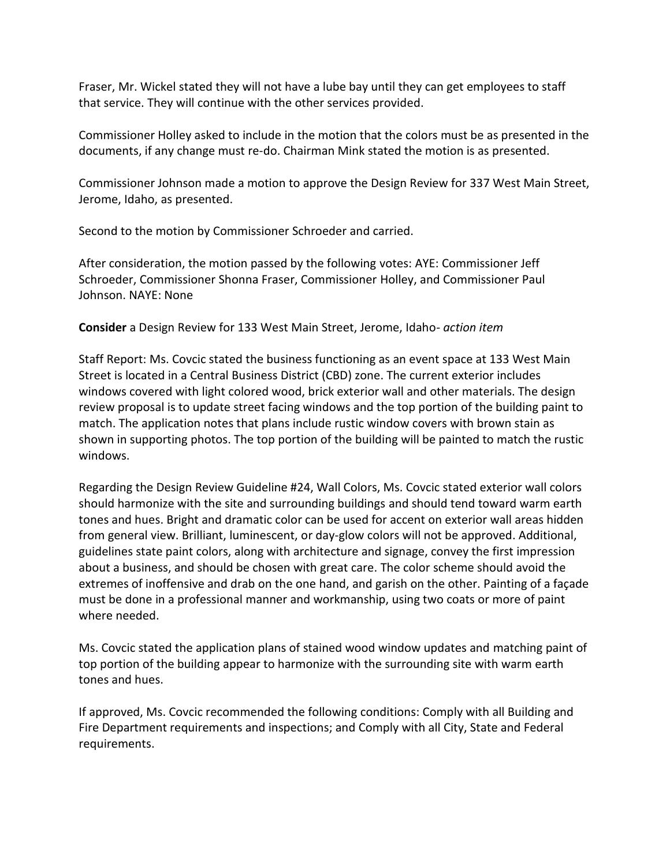Fraser, Mr. Wickel stated they will not have a lube bay until they can get employees to staff that service. They will continue with the other services provided.

Commissioner Holley asked to include in the motion that the colors must be as presented in the documents, if any change must re-do. Chairman Mink stated the motion is as presented.

Commissioner Johnson made a motion to approve the Design Review for 337 West Main Street, Jerome, Idaho, as presented.

Second to the motion by Commissioner Schroeder and carried.

After consideration, the motion passed by the following votes: AYE: Commissioner Jeff Schroeder, Commissioner Shonna Fraser, Commissioner Holley, and Commissioner Paul Johnson. NAYE: None

**Consider** a Design Review for 133 West Main Street, Jerome, Idaho- *action item*

Staff Report: Ms. Covcic stated the business functioning as an event space at 133 West Main Street is located in a Central Business District (CBD) zone. The current exterior includes windows covered with light colored wood, brick exterior wall and other materials. The design review proposal is to update street facing windows and the top portion of the building paint to match. The application notes that plans include rustic window covers with brown stain as shown in supporting photos. The top portion of the building will be painted to match the rustic windows.

Regarding the Design Review Guideline #24, Wall Colors, Ms. Covcic stated exterior wall colors should harmonize with the site and surrounding buildings and should tend toward warm earth tones and hues. Bright and dramatic color can be used for accent on exterior wall areas hidden from general view. Brilliant, luminescent, or day-glow colors will not be approved. Additional, guidelines state paint colors, along with architecture and signage, convey the first impression about a business, and should be chosen with great care. The color scheme should avoid the extremes of inoffensive and drab on the one hand, and garish on the other. Painting of a façade must be done in a professional manner and workmanship, using two coats or more of paint where needed.

Ms. Covcic stated the application plans of stained wood window updates and matching paint of top portion of the building appear to harmonize with the surrounding site with warm earth tones and hues.

If approved, Ms. Covcic recommended the following conditions: Comply with all Building and Fire Department requirements and inspections; and Comply with all City, State and Federal requirements.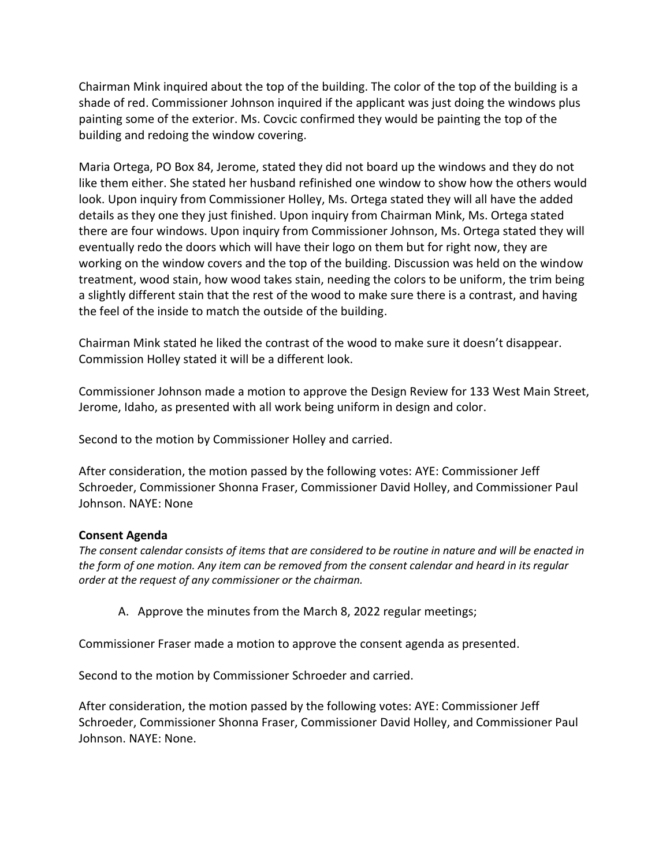Chairman Mink inquired about the top of the building. The color of the top of the building is a shade of red. Commissioner Johnson inquired if the applicant was just doing the windows plus painting some of the exterior. Ms. Covcic confirmed they would be painting the top of the building and redoing the window covering.

Maria Ortega, PO Box 84, Jerome, stated they did not board up the windows and they do not like them either. She stated her husband refinished one window to show how the others would look. Upon inquiry from Commissioner Holley, Ms. Ortega stated they will all have the added details as they one they just finished. Upon inquiry from Chairman Mink, Ms. Ortega stated there are four windows. Upon inquiry from Commissioner Johnson, Ms. Ortega stated they will eventually redo the doors which will have their logo on them but for right now, they are working on the window covers and the top of the building. Discussion was held on the window treatment, wood stain, how wood takes stain, needing the colors to be uniform, the trim being a slightly different stain that the rest of the wood to make sure there is a contrast, and having the feel of the inside to match the outside of the building.

Chairman Mink stated he liked the contrast of the wood to make sure it doesn't disappear. Commission Holley stated it will be a different look.

Commissioner Johnson made a motion to approve the Design Review for 133 West Main Street, Jerome, Idaho, as presented with all work being uniform in design and color.

Second to the motion by Commissioner Holley and carried.

After consideration, the motion passed by the following votes: AYE: Commissioner Jeff Schroeder, Commissioner Shonna Fraser, Commissioner David Holley, and Commissioner Paul Johnson. NAYE: None

## **Consent Agenda**

*The consent calendar consists of items that are considered to be routine in nature and will be enacted in the form of one motion. Any item can be removed from the consent calendar and heard in its regular order at the request of any commissioner or the chairman.* 

A. Approve the minutes from the March 8, 2022 regular meetings;

Commissioner Fraser made a motion to approve the consent agenda as presented.

Second to the motion by Commissioner Schroeder and carried.

After consideration, the motion passed by the following votes: AYE: Commissioner Jeff Schroeder, Commissioner Shonna Fraser, Commissioner David Holley, and Commissioner Paul Johnson. NAYE: None.